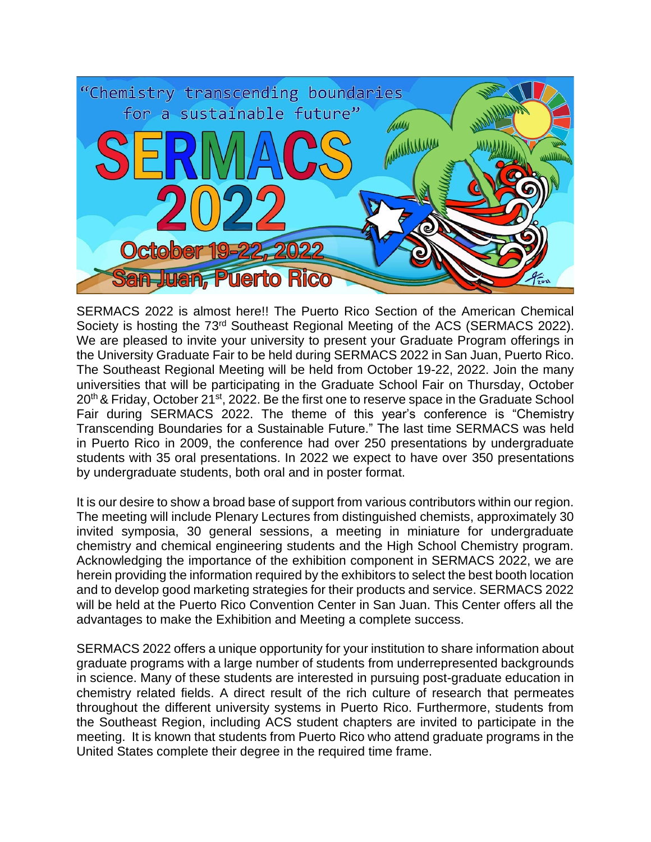

SERMACS 2022 is almost here!! The Puerto Rico Section of the American Chemical Society is hosting the 73<sup>rd</sup> Southeast Regional Meeting of the ACS (SERMACS 2022). We are pleased to invite your university to present your Graduate Program offerings in the University Graduate Fair to be held during SERMACS 2022 in San Juan, Puerto Rico. The Southeast Regional Meeting will be held from October 19-22, 2022. Join the many universities that will be participating in the Graduate School Fair on Thursday, October  $20<sup>th</sup>$  & Friday, October 21<sup>st</sup>, 2022. Be the first one to reserve space in the Graduate School Fair during SERMACS 2022. The theme of this year's conference is "Chemistry Transcending Boundaries for a Sustainable Future." The last time SERMACS was held in Puerto Rico in 2009, the conference had over 250 presentations by undergraduate students with 35 oral presentations. In 2022 we expect to have over 350 presentations by undergraduate students, both oral and in poster format.

It is our desire to show a broad base of support from various contributors within our region. The meeting will include Plenary Lectures from distinguished chemists, approximately 30 invited symposia, 30 general sessions, a meeting in miniature for undergraduate chemistry and chemical engineering students and the High School Chemistry program. Acknowledging the importance of the exhibition component in SERMACS 2022, we are herein providing the information required by the exhibitors to select the best booth location and to develop good marketing strategies for their products and service. SERMACS 2022 will be held at the Puerto Rico Convention Center in San Juan. This Center offers all the advantages to make the Exhibition and Meeting a complete success.

SERMACS 2022 offers a unique opportunity for your institution to share information about graduate programs with a large number of students from underrepresented backgrounds in science. Many of these students are interested in pursuing post-graduate education in chemistry related fields. A direct result of the rich culture of research that permeates throughout the different university systems in Puerto Rico. Furthermore, students from the Southeast Region, including ACS student chapters are invited to participate in the meeting. It is known that students from Puerto Rico who attend graduate programs in the United States complete their degree in the required time frame.